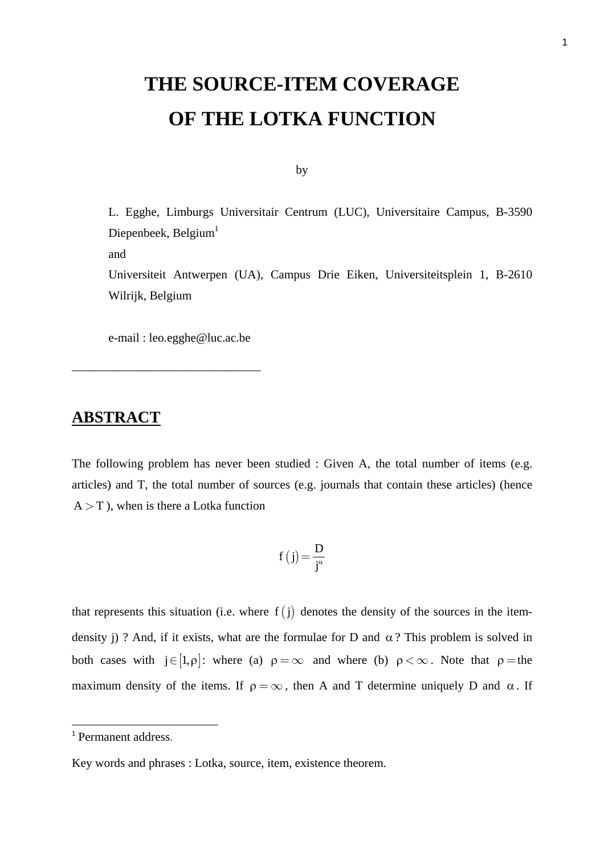## **THE SOURCE-ITEM COVERAGE OF THE LOTKA FUNCTION**

by

L. Egghe, Limburgs Universitair Centrum (LUC), Universitaire Campus, B-3590 Diepenbeek, Belgium $1$ and Universiteit Antwerpen (UA), Campus Drie Eiken, Universiteitsplein 1, B-2610 Wilrijk, Belgium

e-mail : leo.egghe@luc.ac.be

\_\_\_\_\_\_\_\_\_\_\_\_\_\_\_\_\_\_\_\_\_\_\_\_\_\_\_\_\_\_\_

## **ABSTRACT**

The following problem has never been studied : Given A, the total number of items (e.g. articles) and T, the total number of sources (e.g. journals that contain these articles) (hence  $A > T$ ), when is there a Lotka function

$$
f(j) = \frac{D}{j^{\alpha}}
$$

that represents this situation (i.e. where  $f(j)$  denotes the density of the sources in the itemdensity j) ? And, if it exists, what are the formulae for D and  $\alpha$ ? This problem is solved in both cases with  $j \in [1, \rho]$ : where (a)  $\rho = \infty$  and where (b)  $\rho < \infty$ . Note that  $\rho =$  the maximum density of the items. If  $\rho = \infty$ , then A and T determine uniquely D and  $\alpha$ . If

 <sup>1</sup> Permanent address.

Key words and phrases : Lotka, source, item, existence theorem.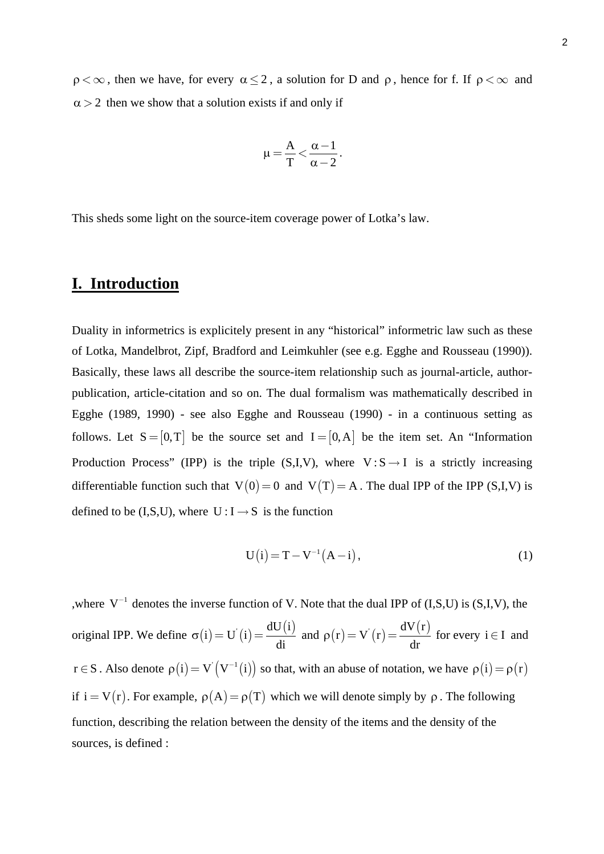$\rho < \infty$ , then we have, for every  $\alpha \leq 2$ , a solution for D and  $\rho$ , hence for f. If  $\rho < \infty$  and  $\alpha$  > 2 then we show that a solution exists if and only if

$$
\mu\!=\!\frac{A}{T}\!<\!\frac{\alpha\!-\!1}{\alpha-2}.
$$

This sheds some light on the source-item coverage power of Lotka's law.

### **I. Introduction**

Duality in informetrics is explicitely present in any "historical" informetric law such as these of Lotka, Mandelbrot, Zipf, Bradford and Leimkuhler (see e.g. Egghe and Rousseau (1990)). Basically, these laws all describe the source-item relationship such as journal-article, authorpublication, article-citation and so on. The dual formalism was mathematically described in Egghe (1989, 1990) - see also Egghe and Rousseau (1990) - in a continuous setting as follows. Let  $S = [0, T]$  be the source set and  $I = [0, A]$  be the item set. An "Information" Production Process" (IPP) is the triple  $(S,I,V)$ , where  $V : S \rightarrow I$  is a strictly increasing differentiable function such that  $V(0) = 0$  and  $V(T) = A$ . The dual IPP of the IPP (S,I,V) is defined to be (I,S,U), where  $U: I \rightarrow S$  is the function

$$
U(i) = T - V^{-1}(A - i),
$$
 (1)

,where  $V^{-1}$  denotes the inverse function of V. Note that the dual IPP of (I,S,U) is (S,I,V), the original IPP. We define  $\sigma(i) = U(i) = \frac{dU(i)}{i}$ di  $\sigma(i) = U^{'}(i) = \frac{dU(i)}{d}$  and  $\rho(r) = V^{'}(r) = \frac{dV(r)}{dr}$  $\rho(r) = V(r) = \frac{d\mathbf{r}(r)}{dr}$  for every  $i \in I$  and  $r \in S$ . Also denote  $\rho(i) = V(V^{-1}(i))$  so that, with an abuse of notation, we have  $\rho(i) = \rho(r)$ if  $i = V(r)$ . For example,  $\rho(A) = \rho(T)$  which we will denote simply by  $\rho$ . The following function, describing the relation between the density of the items and the density of the sources, is defined :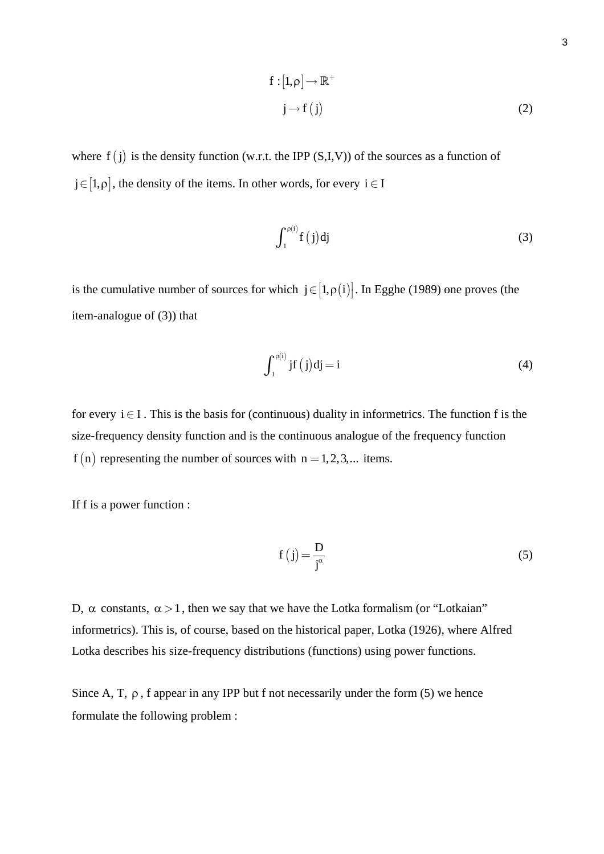$$
f: [1, \rho] \to \mathbb{R}^+
$$
  

$$
j \to f(j)
$$
 (2)

where  $f(j)$  is the density function (w.r.t. the IPP (S,I,V)) of the sources as a function of  $j \in [1,\rho]$ , the density of the items. In other words, for every  $i \in I$ 

$$
\int_{1}^{\rho(i)} f(j) dj \tag{3}
$$

is the cumulative number of sources for which  $j \in [1, \rho(i)]$ . In Egghe (1989) one proves (the item-analogue of (3)) that

$$
\int_{1}^{\rho(i)} jf(j)dj = i \tag{4}
$$

for every  $i \in I$ . This is the basis for (continuous) duality in informetrics. The function f is the size-frequency density function and is the continuous analogue of the frequency function  $f(n)$  representing the number of sources with  $n = 1, 2, 3, ...$  items.

If f is a power function :

$$
f(j) = \frac{D}{j^{\alpha}}
$$
 (5)

D, α constants,  $\alpha > 1$ , then we say that we have the Lotka formalism (or "Lotkaian" informetrics). This is, of course, based on the historical paper, Lotka (1926), where Alfred Lotka describes his size-frequency distributions (functions) using power functions.

Since A, T,  $\rho$ , f appear in any IPP but f not necessarily under the form (5) we hence formulate the following problem :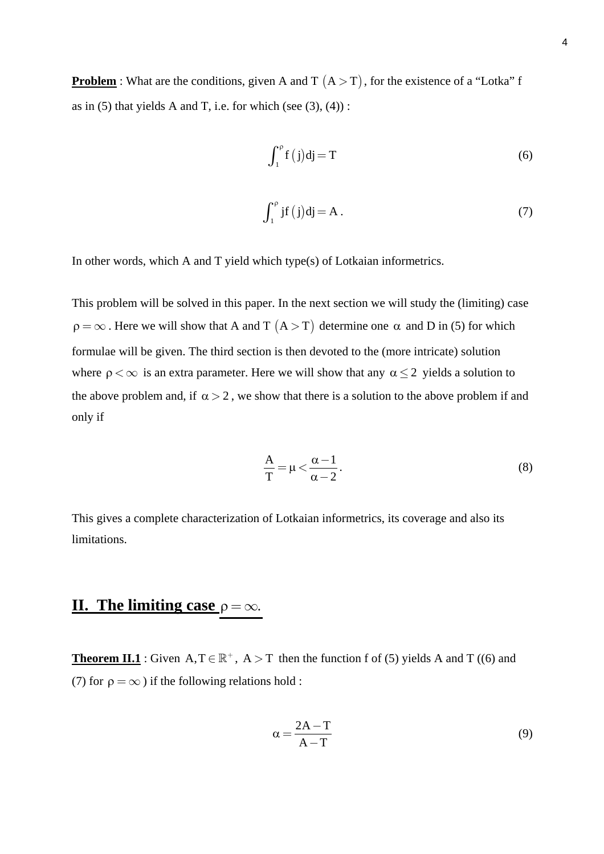**Problem** : What are the conditions, given A and T  $(A > T)$ , for the existence of a "Lotka" f as in  $(5)$  that yields A and T, i.e. for which (see  $(3)$ ,  $(4)$ ):

$$
\int_{1}^{p} f(j)dj = T
$$
 (6)

$$
\int_{1}^{\rho} \mathbf{j}f(\mathbf{j})\mathbf{dj} = \mathbf{A}.
$$
 (7)

In other words, which A and T yield which type(s) of Lotkaian informetrics.

This problem will be solved in this paper. In the next section we will study the (limiting) case  $\rho = \infty$ . Here we will show that A and T  $(A > T)$  determine one  $\alpha$  and D in (5) for which formulae will be given. The third section is then devoted to the (more intricate) solution where  $\rho < \infty$  is an extra parameter. Here we will show that any  $\alpha \leq 2$  yields a solution to the above problem and, if  $\alpha > 2$ , we show that there is a solution to the above problem if and only if

$$
\frac{A}{T} = \mu < \frac{\alpha - 1}{\alpha - 2}.\tag{8}
$$

This gives a complete characterization of Lotkaian informetrics, its coverage and also its limitations.

## **II.** The limiting case  $\rho = \infty$ .

**Theorem II.1** : Given  $A, T \in \mathbb{R}^+$ ,  $A > T$  then the function f of (5) yields A and T ((6) and (7) for  $\rho = \infty$ ) if the following relations hold :

$$
\alpha = \frac{2A - T}{A - T} \tag{9}
$$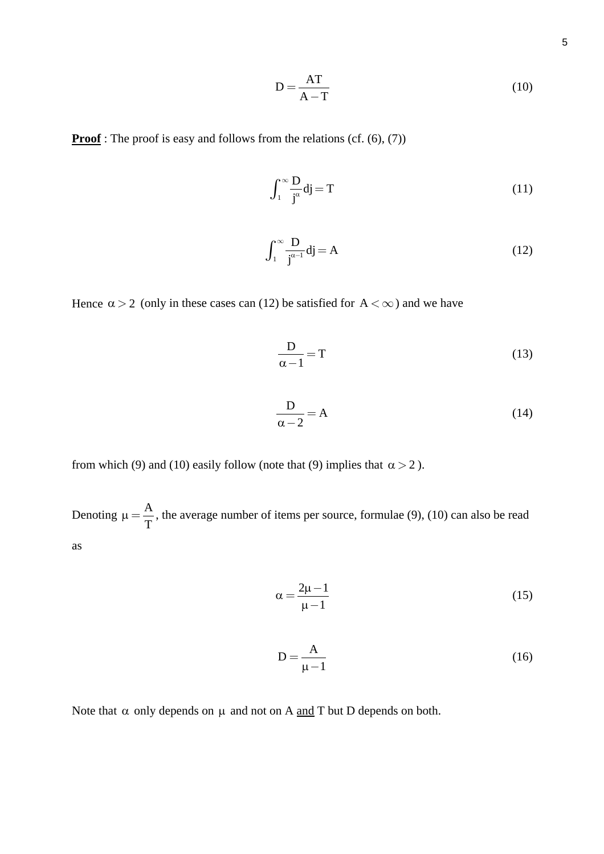$$
D = \frac{AT}{A - T}
$$
 (10)

**Proof**: The proof is easy and follows from the relations (cf. (6), (7))

$$
\int_{1}^{\infty} \frac{D}{j^{\alpha}} dj = T \tag{11}
$$

$$
\int_{1}^{\infty} \frac{\mathbf{D}}{\mathbf{j}^{\alpha-1}} \mathbf{d}\mathbf{j} = \mathbf{A}
$$
 (12)

Hence  $\alpha > 2$  (only in these cases can (12) be satisfied for  $A < \infty$ ) and we have

$$
\frac{\mathbf{D}}{\alpha - 1} = \mathbf{T} \tag{13}
$$

$$
\frac{D}{\alpha - 2} = A \tag{14}
$$

from which (9) and (10) easily follow (note that (9) implies that  $\alpha > 2$ ).

Denoting  $\mu = \frac{A}{T}$ , the average number of items per source, formulae (9), (10) can also be read as

$$
\alpha = \frac{2\mu - 1}{\mu - 1} \tag{15}
$$

$$
D = \frac{A}{\mu - 1} \tag{16}
$$

Note that  $\alpha$  only depends on  $\mu$  and not on A and T but D depends on both.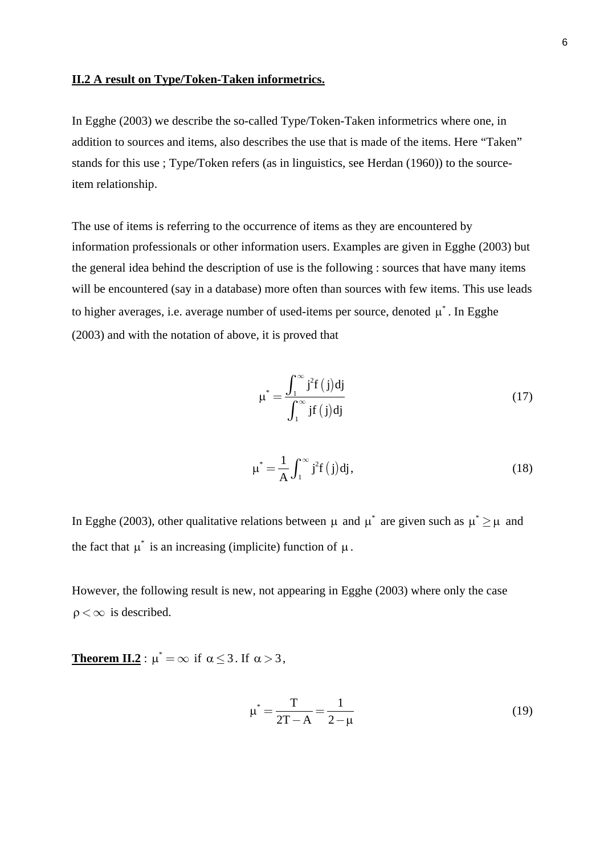#### **II.2 A result on Type/Token-Taken informetrics.**

In Egghe (2003) we describe the so-called Type/Token-Taken informetrics where one, in addition to sources and items, also describes the use that is made of the items. Here "Taken" stands for this use ; Type/Token refers (as in linguistics, see Herdan (1960)) to the sourceitem relationship.

The use of items is referring to the occurrence of items as they are encountered by information professionals or other information users. Examples are given in Egghe (2003) but the general idea behind the description of use is the following : sources that have many items will be encountered (say in a database) more often than sources with few items. This use leads to higher averages, i.e. average number of used-items per source, denoted  $\mu^*$ . In Egghe (2003) and with the notation of above, it is proved that

$$
\mu^* = \frac{\int_1^\infty j^2 f(j) dj}{\int_1^\infty j f(j) dj}
$$
\n(17)

$$
\mu^* = \frac{1}{A} \int_1^\infty j^2 f(j) dj,
$$
\n(18)

In Egghe (2003), other qualitative relations between  $\mu$  and  $\mu^*$  are given such as  $\mu^* \geq \mu$  and the fact that  $\mu^*$  is an increasing (implicite) function of  $\mu$ .

However, the following result is new, not appearing in Egghe (2003) where only the case  $\rho < \infty$  is described.

**Theorem II.2**:  $\mu^* = \infty$  if  $\alpha \le 3$ . If  $\alpha > 3$ ,

$$
\mu^* = \frac{T}{2T - A} = \frac{1}{2 - \mu} \tag{19}
$$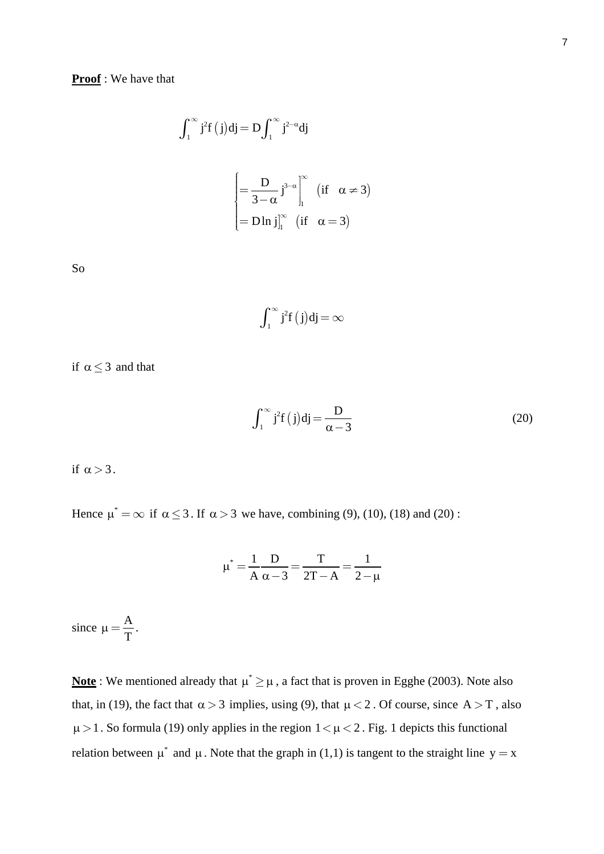$$
\int_{1}^{\infty} j^{2} f(j) dj = D \int_{1}^{\infty} j^{2-\alpha} dj
$$

$$
\begin{cases} = \frac{D}{3-\alpha} j^{3-\alpha} \Big|_{1}^{\infty} & (\text{if } \alpha \neq 3) \\ = D \ln j \Big|_{1}^{\infty} & (\text{if } \alpha = 3) \end{cases}
$$

So

$$
\int_1^\infty j^2 f\left(j\right)\!dj\!=\!\infty
$$

if  $\alpha \leq 3$  and that

$$
\int_{1}^{\infty} \mathbf{j}^{2} \mathbf{f}(\mathbf{j}) \mathbf{dj} = \frac{\mathbf{D}}{\alpha - 3}
$$
 (20)

if  $\alpha > 3$ .

Hence  $\mu^* = \infty$  if  $\alpha \le 3$ . If  $\alpha > 3$  we have, combining (9), (10), (18) and (20):

$$
\mu^* = \frac{1}{A} \frac{D}{\alpha - 3} = \frac{T}{2T - A} = \frac{1}{2 - \mu}
$$

since  $\mu = \frac{A}{T}$ .

**Note**: We mentioned already that  $\mu^* \geq \mu$ , a fact that is proven in Egghe (2003). Note also that, in (19), the fact that  $\alpha > 3$  implies, using (9), that  $\mu < 2$ . Of course, since A  $> T$ , also  $\mu > 1$ . So formula (19) only applies in the region  $1 < \mu < 2$ . Fig. 1 depicts this functional relation between  $\mu^*$  and  $\mu$ . Note that the graph in (1,1) is tangent to the straight line  $y = x$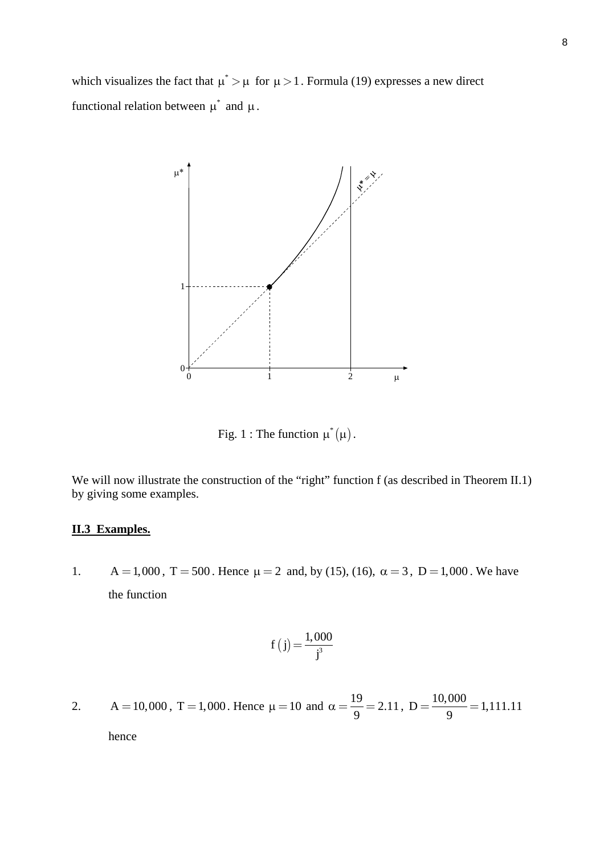which visualizes the fact that  $\mu^* > \mu$  for  $\mu > 1$ . Formula (19) expresses a new direct functional relation between  $\mu^*$  and  $\mu$ .



Fig. 1 : The function  $\mu^*(\mu)$ .

We will now illustrate the construction of the "right" function f (as described in Theorem II.1) by giving some examples.

#### **II.3 Examples.**

1.  $A = 1,000$ ,  $T = 500$ . Hence  $\mu = 2$  and, by (15), (16),  $\alpha = 3$ ,  $D = 1,000$ . We have the function

$$
f(j) = \frac{1,000}{j^3}
$$

2. A = 10,000, T = 1,000. Hence  $\mu = 10$  and  $\alpha = \frac{19}{2} = 2.11$ 9  $\alpha = \frac{19}{9} = 2.11$ ,  $D = \frac{10,000}{9} = 1,111.11$ 

hence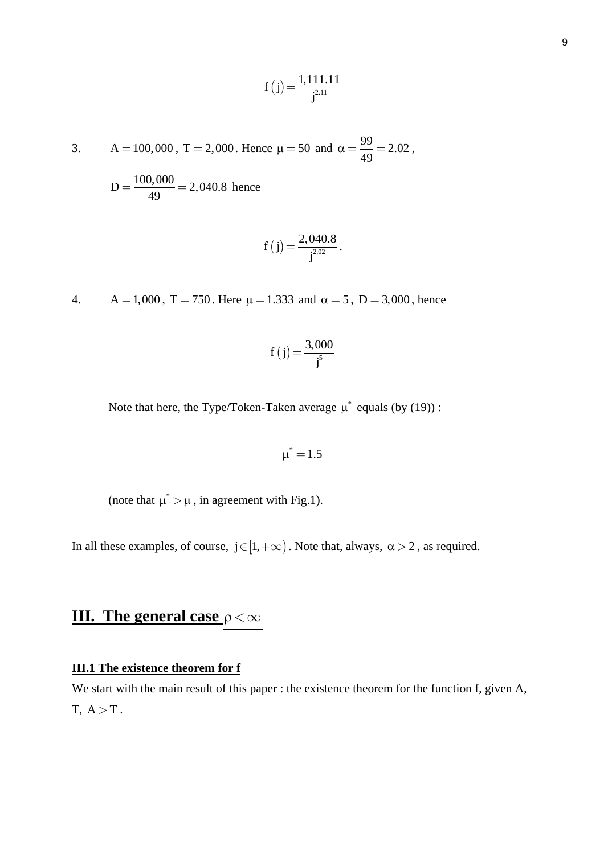$$
f(j) = \frac{1,111.11}{j^{2.11}}
$$

3. A = 100,000, T = 2,000. Hence 
$$
\mu = 50
$$
 and  $\alpha = \frac{99}{49} = 2.02$ ,

 $D = \frac{100,000}{49} = 2,040.8$  hence

$$
f(j) = \frac{2,040.8}{j^{2.02}}
$$
.

4.  $A = 1,000$ ,  $T = 750$ . Here  $\mu = 1.333$  and  $\alpha = 5$ ,  $D = 3,000$ , hence

$$
f(j) = \frac{3,000}{j^5}
$$

Note that here, the Type/Token-Taken average  $\mu^*$  equals (by (19)) :

$$
\mu^*\!=\!1.5
$$

(note that  $\mu^* > \mu$ , in agreement with Fig.1).

In all these examples, of course,  $j \in [1, +\infty)$ . Note that, always,  $\alpha > 2$ , as required.

# **III.** The general case  $ρ < ∞$

#### **III.1 The existence theorem for f**

We start with the main result of this paper : the existence theorem for the function f, given A,  $T, A > T$ .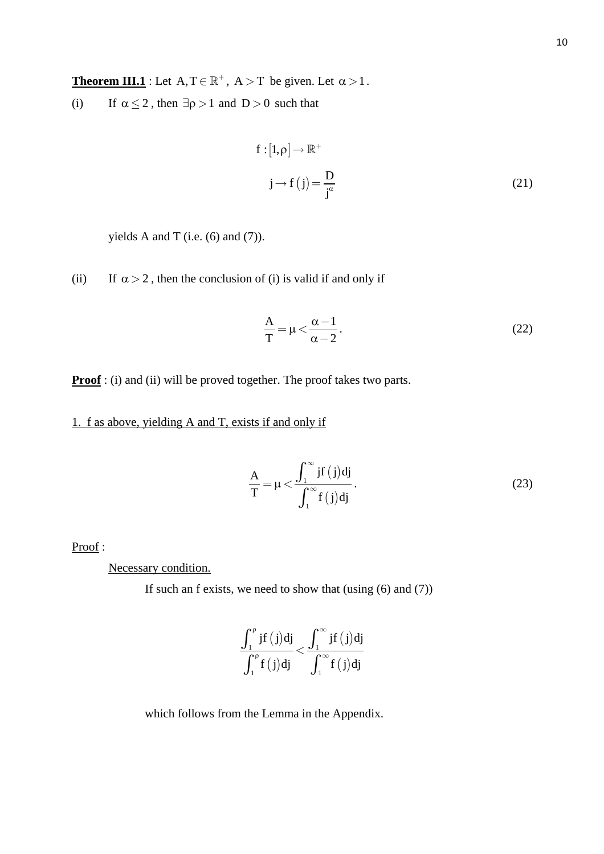**Theorem III.1** : Let  $A, T \in \mathbb{R}^+$ ,  $A > T$  be given. Let  $\alpha > 1$ .

(i) If  $\alpha \le 2$ , then  $\exists \rho > 1$  and  $D > 0$  such that

$$
f: [1, \rho] \to \mathbb{R}^+
$$
  
\n
$$
j \to f(j) = \frac{D}{j^{\alpha}}
$$
\n(21)

yields A and T (i.e.  $(6)$  and  $(7)$ ).

(ii) If  $\alpha > 2$ , then the conclusion of (i) is valid if and only if

$$
\frac{A}{T} = \mu < \frac{\alpha - 1}{\alpha - 2}.\tag{22}
$$

**Proof**: (i) and (ii) will be proved together. The proof takes two parts.

1. f as above, yielding A and T, exists if and only if

$$
\frac{A}{T} = \mu < \frac{\int_1^\infty jf(j)dj}{\int_1^\infty f(j)dj}.
$$
\n<sup>(23)</sup>

Proof :

Necessary condition.

If such an f exists, we need to show that (using (6) and (7))

$$
\frac{\int_1^{\rho} jf(j)dj}{\int_1^{\rho} f(j)dj} < \frac{\int_1^{\infty} jf(j)dj}{\int_1^{\infty} f(j)dj}
$$

which follows from the Lemma in the Appendix.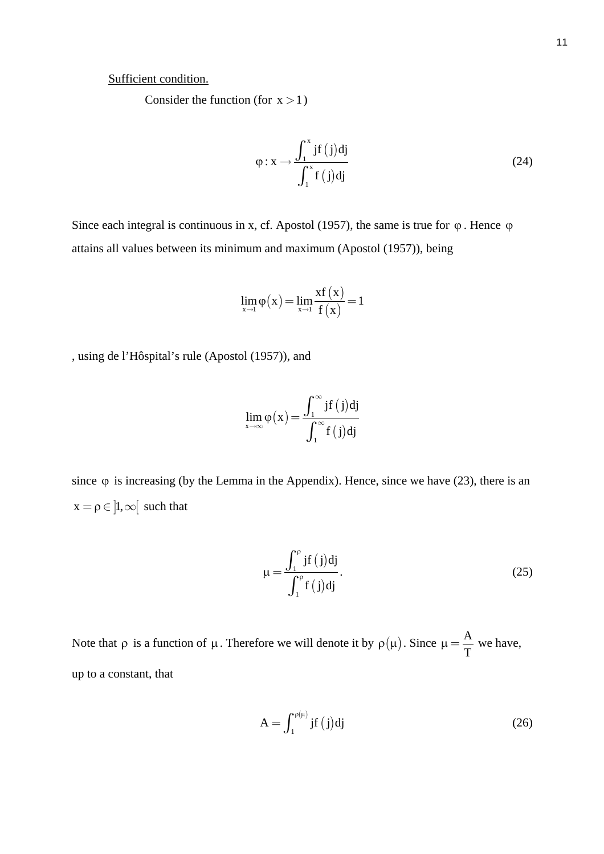#### Sufficient condition.

Consider the function (for  $x > 1$ )

$$
\varphi: \mathbf{x} \to \frac{\int_1^{\mathbf{x}} jf(j)dj}{\int_1^{\mathbf{x}} f(j)dj}
$$
\n(24)

Since each integral is continuous in x, cf. Apostol (1957), the same is true for  $\varphi$ . Hence  $\varphi$ attains all values between its minimum and maximum (Apostol (1957)), being

$$
\lim_{x \to 1} \varphi(x) = \lim_{x \to 1} \frac{xf(x)}{f(x)} = 1
$$

, using de l'Hôspital's rule (Apostol (1957)), and

$$
\lim_{x \to \infty} \varphi(x) = \frac{\int_1^\infty jf(j)dj}{\int_1^\infty f(j)dj}
$$

since  $\varphi$  is increasing (by the Lemma in the Appendix). Hence, since we have (23), there is an  $x = \rho \in ]1, \infty[$  such that

$$
\mu = \frac{\int_1^{\rho} jf(j)dj}{\int_1^{\rho} f(j)dj}.
$$
\n(25)

Note that  $\rho$  is a function of  $\mu$ . Therefore we will denote it by  $\rho(\mu)$ . Since  $\mu = \frac{A}{T}$  we have, up to a constant, that

$$
A = \int_{1}^{\rho(\mu)} jf(j)dj
$$
 (26)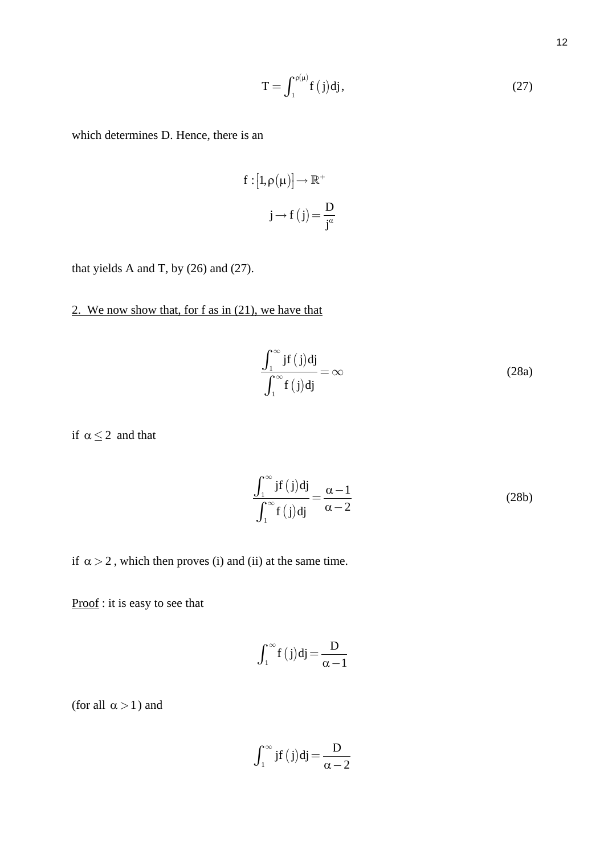$$
T = \int_{1}^{\rho(\mu)} f(j) dj,
$$
 (27)

which determines D. Hence, there is an

$$
f: [1, \rho(\mu)] \to \mathbb{R}^+
$$

$$
j \to f(j) = \frac{D}{j^{\alpha}}
$$

that yields A and T, by (26) and (27).

### 2. We now show that, for f as in (21), we have that

$$
\frac{\int_{1}^{\infty} jf(j)dj}{\int_{1}^{\infty} f(j)dj} = \infty
$$
\n(28a)

if  $\alpha \leq 2$  and that

$$
\frac{\int_{1}^{\infty} jf(j)dj}{\int_{1}^{\infty} f(j)dj} = \frac{\alpha - 1}{\alpha - 2}
$$
\n(28b)

if  $\alpha > 2$ , which then proves (i) and (ii) at the same time.

Proof: it is easy to see that

$$
\int_1^\infty f(j)dj = \frac{D}{\alpha - 1}
$$

(for all  $\alpha > 1$ ) and

$$
\int_1^\infty j f\left(j\right) d j\,{=}\,\frac{D}{\alpha\,{-}\,2}
$$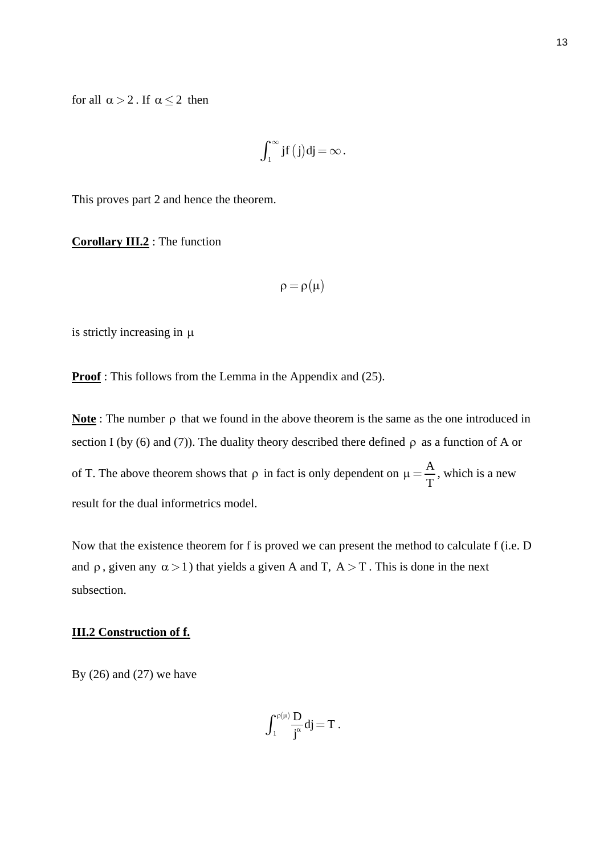for all  $\alpha > 2$ . If  $\alpha \leq 2$  then

$$
\int_1^\infty j f\left(j\right)\!dj\!=\!\infty\,.
$$

This proves part 2 and hence the theorem.

**Corollary III.2** : The function

$$
\rho = \rho(\mu)
$$

is strictly increasing in µ

**Proof**: This follows from the Lemma in the Appendix and (25).

**Note** : The number ρ that we found in the above theorem is the same as the one introduced in section I (by (6) and (7)). The duality theory described there defined  $\rho$  as a function of A or of T. The above theorem shows that  $\rho$  in fact is only dependent on  $\mu = \frac{A}{T}$ , which is a new result for the dual informetrics model.

Now that the existence theorem for f is proved we can present the method to calculate f (i.e. D and  $\rho$ , given any  $\alpha > 1$ ) that yields a given A and T,  $A > T$ . This is done in the next subsection.

#### **III.2 Construction of f.**

By  $(26)$  and  $(27)$  we have

$$
\int_1^{\rho(\mu)}\!\frac{D}{j^\alpha}dj\!=\!T\,.
$$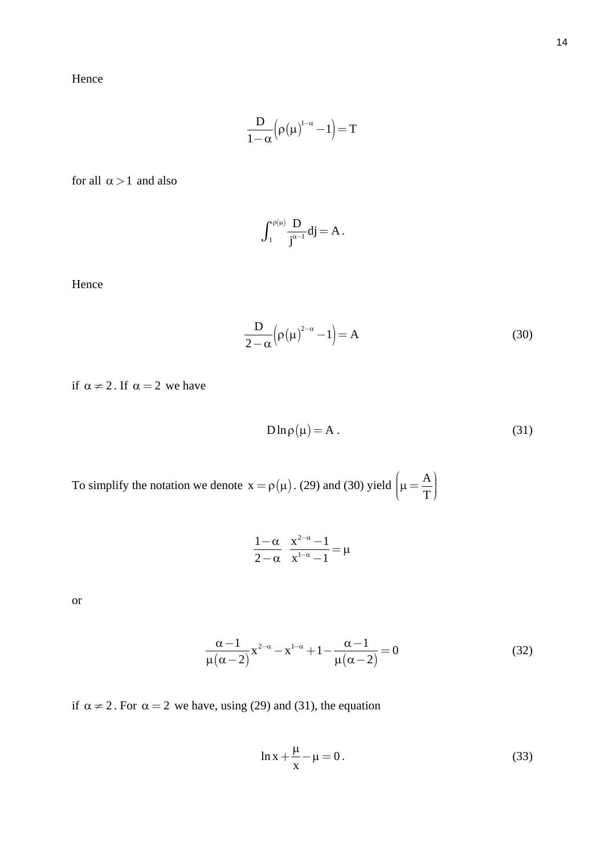Hence

$$
\frac{D}{1\!alpha}\!\left(\!\rho\!\left(\mu\right)^{\!\!1\!-\!\alpha}\!-\!1\!\right)\!=\!T
$$

for all  $\alpha > 1$  and also

$$
\int_1^{\rho(\mu)}\!\frac{D}{j^{\alpha-1}}dj\!=A\,.
$$

Hence

$$
\frac{D}{2-\alpha} \left( \rho(\mu)^{2-\alpha} - 1 \right) = A \tag{30}
$$

if  $\alpha \neq 2$ . If  $\alpha = 2$  we have

$$
D\ln \rho(\mu) = A. \tag{31}
$$

To simplify the notation we denote  $x = \rho(\mu)$ . (29) and (30) yield  $\left(\mu = \frac{A}{T}\right)$  $\mu = \frac{A}{\Box}$  $\mu = \frac{1}{T}$ 

$$
\frac{1-\alpha}{2-\alpha} \frac{x^{2-\alpha}-1}{x^{1-\alpha}-1} = \mu
$$

or

$$
\frac{\alpha - 1}{\mu(\alpha - 2)} x^{2-\alpha} - x^{1-\alpha} + 1 - \frac{\alpha - 1}{\mu(\alpha - 2)} = 0
$$
 (32)

if  $\alpha \neq 2$ . For  $\alpha = 2$  we have, using (29) and (31), the equation

$$
\ln x + \frac{\mu}{x} - \mu = 0. \tag{33}
$$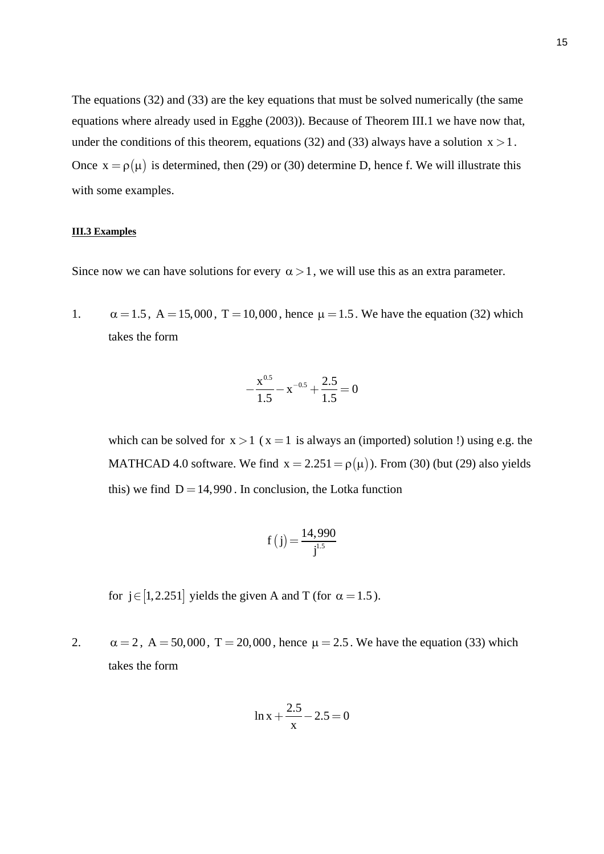The equations (32) and (33) are the key equations that must be solved numerically (the same equations where already used in Egghe (2003)). Because of Theorem III.1 we have now that, under the conditions of this theorem, equations (32) and (33) always have a solution  $x > 1$ . Once  $x = \rho(\mu)$  is determined, then (29) or (30) determine D, hence f. We will illustrate this with some examples.

#### **III.3 Examples**

Since now we can have solutions for every  $\alpha > 1$ , we will use this as an extra parameter.

1.  $\alpha = 1.5$ ,  $A = 15,000$ ,  $T = 10,000$ , hence  $\mu = 1.5$ . We have the equation (32) which takes the form

$$
-\frac{x^{0.5}}{1.5} - x^{-0.5} + \frac{2.5}{1.5} = 0
$$

which can be solved for  $x > 1$  ( $x = 1$  is always an (imported) solution !) using e.g. the MATHCAD 4.0 software. We find  $x = 2.251 = \rho(\mu)$ ). From (30) (but (29) also yields this) we find  $D = 14,990$ . In conclusion, the Lotka function

$$
f(j) = \frac{14,990}{j^{1.5}}
$$

for j∈[1,2.251] yields the given A and T (for  $\alpha = 1.5$ ).

2.  $\alpha = 2$ ,  $A = 50,000$ ,  $T = 20,000$ , hence  $\mu = 2.5$ . We have the equation (33) which takes the form

$$
\ln x + \frac{2.5}{x} - 2.5 = 0
$$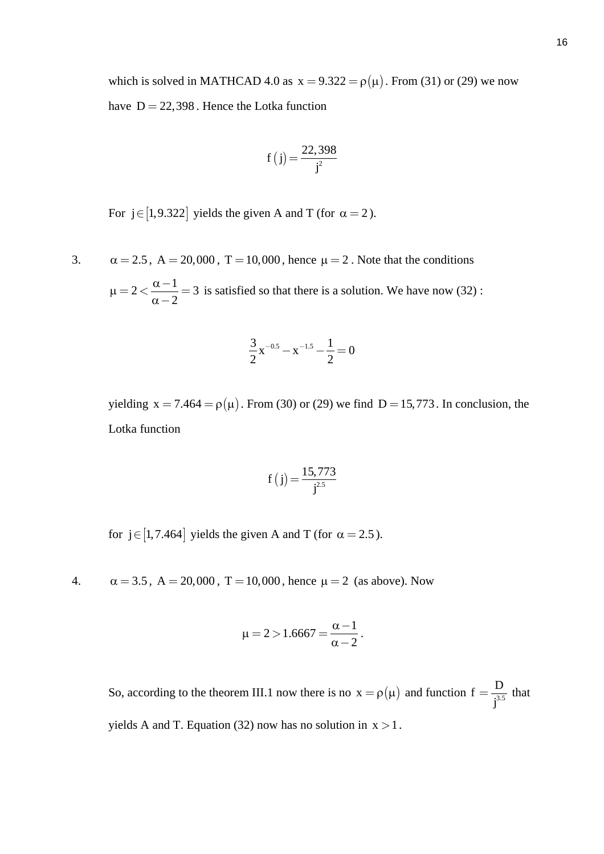which is solved in MATHCAD 4.0 as  $x = 9.322 = \rho(\mu)$ . From (31) or (29) we now have  $D = 22,398$ . Hence the Lotka function

$$
f(j) = \frac{22,398}{j^2}
$$

For  $j \in [1, 9.322]$  yields the given A and T (for  $\alpha = 2$ ).

3.  $\alpha = 2.5$ ,  $A = 20,000$ ,  $T = 10,000$ , hence  $\mu = 2$ . Note that the conditions

 $2 < \frac{\alpha - 1}{2}$ 2  $\mu = 2 < \frac{\alpha}{2}$  $= 2 < \frac{\alpha - 1}{\alpha - 2} = 3$  is satisfied so that there is a solution. We have now (32):

$$
\frac{3}{2}x^{-0.5} - x^{-1.5} - \frac{1}{2} = 0
$$

yielding  $x = 7.464 = \rho(\mu)$ . From (30) or (29) we find  $D = 15,773$ . In conclusion, the Lotka function

$$
f(j) = \frac{15,773}{j^{2.5}}
$$

for  $j \in [1, 7.464]$  yields the given A and T (for  $\alpha = 2.5$ ).

4.  $\alpha = 3.5$ ,  $A = 20,000$ ,  $T = 10,000$ , hence  $\mu = 2$  (as above). Now

$$
\mu = 2 > 1.6667 = \frac{\alpha - 1}{\alpha - 2}.
$$

So, according to the theorem III.1 now there is no  $x = \rho(\mu)$  and function  $f = \frac{D}{j^{3.5}}$  that yields A and T. Equation (32) now has no solution in  $x > 1$ .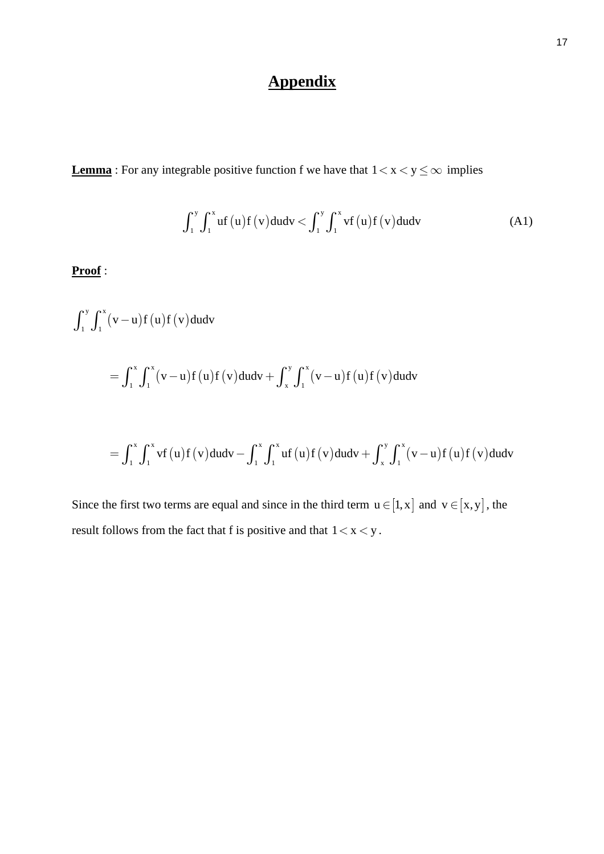## **Appendix**

**Lemma** : For any integrable positive function f we have that  $1 < x < y \leq \infty$  implies

$$
\int_{1}^{y} \int_{1}^{x} uf(u)f(v)dudv < \int_{1}^{y} \int_{1}^{x} vf(u)f(v)dudv
$$
 (A1)

**Proof** :

$$
\int_{1}^{y} \int_{1}^{x} (v - u) f(u) f(v) du dv
$$
  
=  $\int_{1}^{x} \int_{1}^{x} (v - u) f(u) f(v) du dv + \int_{x}^{y} \int_{1}^{x} (v - u) f(u) f(v) du dv$   
=  $\int_{1}^{x} \int_{1}^{x} vf(u) f(v) du dv - \int_{1}^{x} \int_{1}^{x} uf(u) f(v) du dv + \int_{x}^{y} \int_{1}^{x} (v - u) f(u) f(v) du dv$ 

Since the first two terms are equal and since in the third term  $u \in [1, x]$  and  $v \in [x, y]$ , the result follows from the fact that f is positive and that  $1 < x < y$ .